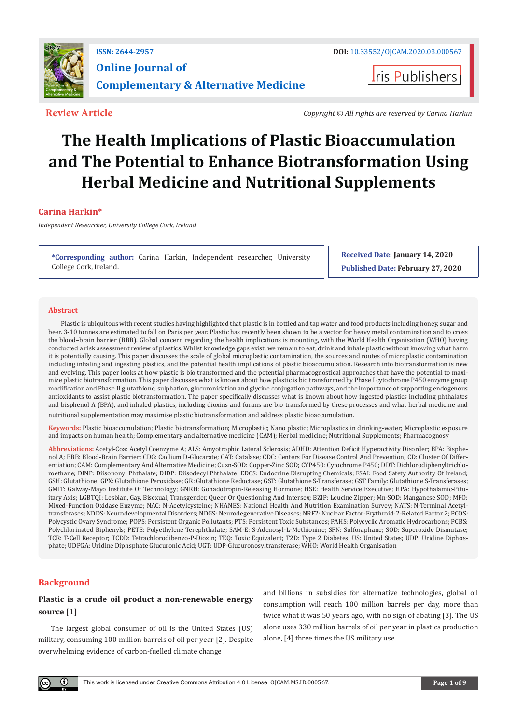

**I**ris Publishers

**Review Article** *Copyright © All rights are reserved by Carina Harkin*

# **The Health Implications of Plastic Bioaccumulation and The Potential to Enhance Biotransformation Using Herbal Medicine and Nutritional Supplements**

# **Carina Harkin\***

*Independent Researcher, University College Cork, Ireland*

**\*Corresponding author:** Carina Harkin, Independent researcher, University College Cork, Ireland.

**Received Date: January 14, 2020 Published Date: February 27, 2020**

## **Abstract**

Plastic is ubiquitous with recent studies having highlighted that plastic is in bottled and tap water and food products including honey, sugar and beer. 3-10 tonnes are estimated to fall on Paris per year. Plastic has recently been shown to be a vector for heavy metal contamination and to cross the blood–brain barrier (BBB). Global concern regarding the health implications is mounting, with the World Health Organisation (WHO) having conducted a risk assessment review of plastics. Whilst knowledge gaps exist, we remain to eat, drink and inhale plastic without knowing what harm it is potentially causing. This paper discusses the scale of global microplastic contamination, the sources and routes of microplastic contamination including inhaling and ingesting plastics, and the potential health implications of plastic bioaccumulation. Research into biotransformation is new and evolving. This paper looks at how plastic is bio transformed and the potential pharmacognostical approaches that have the potential to maximize plastic biotransformation. This paper discusses what is known about how plastic is bio transformed by Phase I cytochrome P450 enzyme group modification and Phase II glutathione, sulphation, glucuronidation and glycine conjugation pathways, and the importance of supporting endogenous antioxidants to assist plastic biotransformation. The paper specifically discusses what is known about how ingested plastics including phthalates and bisphenol A (BPA), and inhaled plastics, including dioxins and furans are bio transformed by these processes and what herbal medicine and nutritional supplementation may maximise plastic biotransformation and address plastic bioaccumulation.

**Keywords:** Plastic bioaccumulation; Plastic biotransformation; Microplastic; Nano plastic; Microplastics in drinking-water; Microplastic exposure and impacts on human health; Complementary and alternative medicine (CAM); Herbal medicine; Nutritional Supplements; Pharmacognosy

**Abbreviations:** Acetyl-Coa: Acetyl Coenzyme A; ALS: Amyotrophic Lateral Sclerosis; ADHD: Attention Deficit Hyperactivity Disorder; BPA: Bisphenol A; BBB: Blood-Brain Barrier; CDG: Caclium D-Glucarate; CAT: Catalase; CDC: Centers For Disease Control And Prevention; CD: Cluster Of Differentiation; CAM: Complementary And Alternative Medicine; Cuzn-SOD: Copper-Zinc SOD; CYP450: Cytochrome P450; DDT: Dichlorodiphenyltrichloroethane; DINP: Diisononyl Phthalate; DIDP: Diisodecyl Phthalate; EDCS: Endocrine Disrupting Chemicals; FSAI: Food Safety Authority Of Ireland; GSH: Glutathione; GPX: Glutathione Peroxidase; GR: Glutathione Reductase; GST: Glutathione S-Transferase; GST Family: Glutathione S-Transferases; GMIT: Galway-Mayo Institute Of Technology; GNRH: Gonadotropin-Releasing Hormone; HSE: Health Service Executive; HPA: Hypothalamic-Pituitary Axis; LGBTQI: Lesbian, Gay, Bisexual, Transgender, Queer Or Questioning And Intersex; BZIP: Leucine Zipper; Mn-SOD: Manganese SOD; MFO: Mixed-Function Oxidase Enzyme; NAC: N-Acetylcysteine; NHANES: National Health And Nutrition Examination Survey; NATS: N-Terminal Acetyltransferases; NDDS: Neurodevelopmental Disorders; NDGS: Neurodegenerative Diseases; NRF2: Nuclear Factor-Erythroid-2-Related Factor 2; PCOS: Polycystic Ovary Syndrome; POPS: Persistent Organic Pollutants; PTS: Persistent Toxic Substances; PAHS: Polycyclic Aromatic Hydrocarbons; PCBS: Polychlorinated Biphenyls; PETE: Polyethylene Terephthalate; SAM-E: S-Adenosyl-L-Methionine; SFN: Sulforaphane; SOD: Superoxide Dismutase; TCR: T-Cell Receptor; TCDD: Tetrachlorodibenzo-P-Dioxin; TEQ: Toxic Equivalent; T2D: Type 2 Diabetes; US: United States; UDP: Uridine Diphosphate; UDPGA: Uridine Diphsphate Glucuronic Acid; UGT: UDP-Glucuronosyltransferase; WHO: World Health Organisation

# **Background**

# **Plastic is a crude oil product a non-renewable energy source [1]**

The largest global consumer of oil is the United States (US) military, consuming 100 million barrels of oil per year [2]. Despite overwhelming evidence of carbon-fuelled climate change

and billions in subsidies for alternative technologies, global oil consumption will reach 100 million barrels per day, more than twice what it was 50 years ago, with no sign of abating [3]. The US alone uses 330 million barrels of oil per year in plastics production alone, [4] three times the US military use.

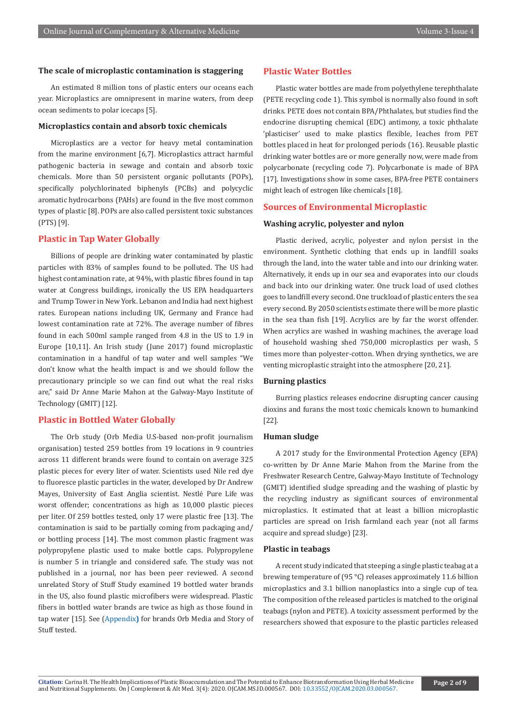# **The scale of microplastic contamination is staggering**

An estimated 8 million tons of plastic enters our oceans each year. Microplastics are omnipresent in marine waters, from deep ocean sediments to polar icecaps [5].

# **Microplastics contain and absorb toxic chemicals**

Microplastics are a vector for heavy metal contamination from the marine environment [6,7]. Microplastics attract harmful pathogenic bacteria in sewage and contain and absorb toxic chemicals. More than 50 persistent organic pollutants (POPs), specifically polychlorinated biphenyls (PCBs) and polycyclic aromatic hydrocarbons (PAHs) are found in the five most common types of plastic [8]. POPs are also called persistent toxic substances (PTS) [9].

# **Plastic in Tap Water Globally**

Billions of people are drinking water contaminated by plastic particles with 83% of samples found to be polluted. The US had highest contamination rate, at 94%, with plastic fibres found in tap water at Congress buildings, ironically the US EPA headquarters and Trump Tower in New York. Lebanon and India had next highest rates. European nations including UK, Germany and France had lowest contamination rate at 72%. The average number of fibres found in each 500ml sample ranged from 4.8 in the US to 1.9 in Europe [10,11]. An Irish study (June 2017) found microplastic contamination in a handful of tap water and well samples "We don't know what the health impact is and we should follow the precautionary principle so we can find out what the real risks are," said Dr Anne Marie Mahon at the Galway-Mayo Institute of Technology (GMIT) [12].

# **Plastic in Bottled Water Globally**

The Orb study (Orb Media U.S-based non-profit journalism organisation) tested 259 bottles from 19 locations in 9 countries across 11 different brands were found to contain on average 325 plastic pieces for every liter of water. Scientists used Nile red dye to fluoresce plastic particles in the water, developed by Dr Andrew Mayes, University of East Anglia scientist. Nestlé Pure Life was worst offender; concentrations as high as 10,000 plastic pieces per liter. Of 259 bottles tested, only 17 were plastic free [13]. The contamination is said to be partially coming from packaging and/ or bottling process [14]. The most common plastic fragment was polypropylene plastic used to make bottle caps. Polypropylene is number 5 in triangle and considered safe. The study was not published in a journal, nor has been peer reviewed. A second unrelated Story of Stuff Study examined 19 bottled water brands in the US, also found plastic microfibers were widespread. Plastic fibers in bottled water brands are twice as high as those found in tap water [15]. See [\(Appendix](https://irispublishers.com/ojcam/pdf/OJCAM.MS.ID.000567Appendix.pdf)**)** for brands Orb Media and Story of Stuff tested.

#### **Plastic Water Bottles**

Plastic water bottles are made from polyethylene terephthalate (PETE recycling code 1). This symbol is normally also found in soft drinks. PETE does not contain BPA/Phthalates, but studies find the endocrine disrupting chemical (EDC) antimony, a toxic phthalate 'plasticiser' used to make plastics flexible, leaches from PET bottles placed in heat for prolonged periods (16). Reusable plastic drinking water bottles are or more generally now, were made from polycarbonate (recycling code 7). Polycarbonate is made of BPA [17]. Investigations show in some cases, BPA-free PETE containers might leach of estrogen like chemicals [18].

# **Sources of Environmental Microplastic**

#### **Washing acrylic, polyester and nylon**

Plastic derived, acrylic, polyester and nylon persist in the environment. Synthetic clothing that ends up in landfill soaks through the land, into the water table and into our drinking water. Alternatively, it ends up in our sea and evaporates into our clouds and back into our drinking water. One truck load of used clothes goes to landfill every second. One truckload of plastic enters the sea every second. By 2050 scientists estimate there will be more plastic in the sea than fish [19]. Acrylics are by far the worst offender. When acrylics are washed in washing machines, the average load of household washing shed 750,000 microplastics per wash, 5 times more than polyester-cotton. When drying synthetics, we are venting microplastic straight into the atmosphere [20, 21].

# **Burning plastics**

Burring plastics releases endocrine disrupting cancer causing dioxins and furans the most toxic chemicals known to humankind [22].

# **Human sludge**

A 2017 study for the Environmental Protection Agency (EPA) co-written by Dr Anne Marie Mahon from the Marine from the Freshwater Research Centre, Galway-Mayo Institute of Technology (GMIT) identified sludge spreading and the washing of plastic by the recycling industry as significant sources of environmental microplastics. It estimated that at least a billion microplastic particles are spread on Irish farmland each year (not all farms acquire and spread sludge) [23].

# **Plastic in teabags**

A recent study indicated that steeping a single plastic teabag at a brewing temperature of (95 °C) releases approximately 11.6 billion microplastics and 3.1 billion nanoplastics into a single cup of tea. The composition of the released particles is matched to the original teabags (nylon and PETE). A toxicity assessment performed by the researchers showed that exposure to the plastic particles released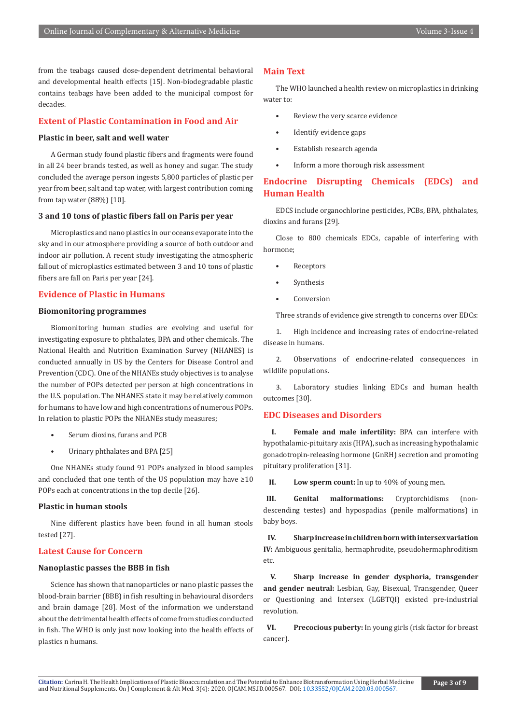from the teabags caused dose-dependent detrimental behavioral and developmental health effects [15]. Non-biodegradable plastic contains teabags have been added to the municipal compost for decades.

# **Extent of Plastic Contamination in Food and Air**

# **Plastic in beer, salt and well water**

A German study found plastic fibers and fragments were found in all 24 beer brands tested, as well as honey and sugar. The study concluded the average person ingests 5,800 particles of plastic per year from beer, salt and tap water, with largest contribution coming from tap water (88%) [10].

# **3 and 10 tons of plastic fibers fall on Paris per year**

Microplastics and nano plastics in our oceans evaporate into the sky and in our atmosphere providing a source of both outdoor and indoor air pollution. A recent study investigating the atmospheric fallout of microplastics estimated between 3 and 10 tons of plastic fibers are fall on Paris per year [24].

# **Evidence of Plastic in Humans**

# **Biomonitoring programmes**

Biomonitoring human studies are evolving and useful for investigating exposure to phthalates, BPA and other chemicals. The National Health and Nutrition Examination Survey (NHANES) is conducted annually in US by the Centers for Disease Control and Prevention (CDC). One of the NHANEs study objectives is to analyse the number of POPs detected per person at high concentrations in the U.S. population. The NHANES state it may be relatively common for humans to have low and high concentrations of numerous POPs. In relation to plastic POPs the NHANEs study measures;

- Serum dioxins, furans and PCB
- Urinary phthalates and BPA [25]

One NHANEs study found 91 POPs analyzed in blood samples and concluded that one tenth of the US population may have  $\geq 10$ POPs each at concentrations in the top decile [26].

# **Plastic in human stools**

Nine different plastics have been found in all human stools tested [27].

# **Latest Cause for Concern**

#### **Nanoplastic passes the BBB in fish**

Science has shown that nanoparticles or nano plastic passes the blood-brain barrier (BBB) in fish resulting in behavioural disorders and brain damage [28]. Most of the information we understand about the detrimental health effects of come from studies conducted in fish. The WHO is only just now looking into the health effects of plastics n humans.

#### **Main Text**

The WHO launched a health review on microplastics in drinking water to:

- Review the very scarce evidence
- Identify evidence gaps
- Establish research agenda
- Inform a more thorough risk assessment

# **Endocrine Disrupting Chemicals (EDCs) and Human Health**

EDCS include organochlorine pesticides, PCBs, BPA, phthalates, dioxins and furans [29].

Close to 800 chemicals EDCs, capable of interfering with hormone;

- **Receptors**
- **Synthesis**
- **Conversion**

Three strands of evidence give strength to concerns over EDCs:

1. High incidence and increasing rates of endocrine-related disease in humans.

2. Observations of endocrine-related consequences in wildlife populations.

3. Laboratory studies linking EDCs and human health outcomes [30].

# **EDC Diseases and Disorders**

**I. Female and male infertility:** BPA can interfere with hypothalamic-pituitary axis (HPA), such as increasing hypothalamic gonadotropin-releasing hormone (GnRH) secretion and promoting pituitary proliferation [31].

**II. Low sperm count:** In up to 40% of young men.

**III. Genital malformations:** Cryptorchidisms (nondescending testes) and hypospadias (penile malformations) in baby boys.

**IV. Sharp increase in children born with intersex variation IV:** Ambiguous genitalia, hermaphrodite, pseudohermaphroditism etc.

**V. Sharp increase in gender dysphoria, transgender and gender neutral:** Lesbian, Gay, Bisexual, Transgender, Queer or Questioning and Intersex (LGBTQI) existed pre-industrial revolution.

**VI. Precocious puberty:** In young girls (risk factor for breast cancer).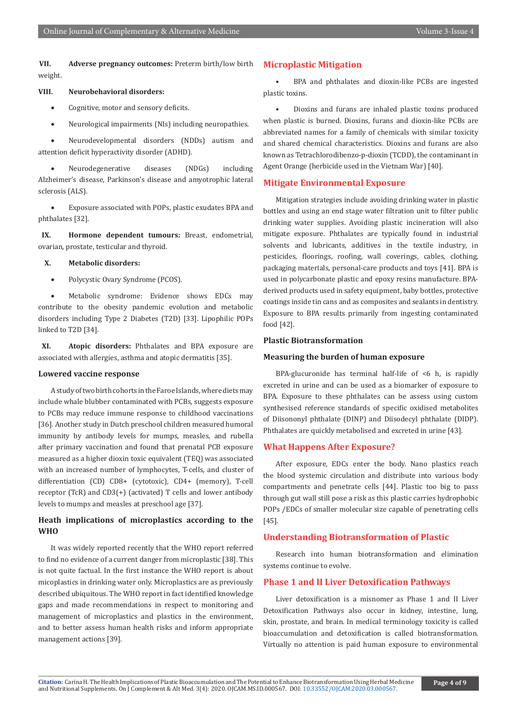**VII. Adverse pregnancy outcomes:** Preterm birth/low birth weight.

# **VIII. Neurobehavioral disorders:**

- • Cognitive, motor and sensory deficits.
- • Neurological impairments (NIs) including neuropathies.

Neurodevelopmental disorders (NDDs) autism and attention deficit hyperactivity disorder (ADHD).

Neurodegenerative diseases (NDGs) including Alzheimer's disease, Parkinson's disease and amyotrophic lateral sclerosis (ALS).

Exposure associated with POPs, plastic exudates BPA and phthalates [32].

**IX. Hormone dependent tumours:** Breast, endometrial, ovarian, prostate, testicular and thyroid.

#### **X. Metabolic disorders:**

• Polycystic Ovary Syndrome (PCOS).

• Metabolic syndrome: Evidence shows EDCs may contribute to the obesity pandemic evolution and metabolic disorders including Type 2 Diabetes (T2D) [33]. Lipophilic POPs linked to T2D [34].

**XI. Atopic disorders:** Phthalates and BPA exposure are associated with allergies, asthma and atopic dermatitis [35].

# **Lowered vaccine response**

A study of two birth cohorts in the Faroe Islands, where diets may include whale blubber contaminated with PCBs, suggests exposure to PCBs may reduce immune response to childhood vaccinations [36]. Another study in Dutch preschool children measured humoral immunity by antibody levels for mumps, measles, and rubella after primary vaccination and found that prenatal PCB exposure measured as a higher dioxin toxic equivalent (TEQ) was associated with an increased number of lymphocytes, T-cells, and cluster of differentiation (CD) CD8+ (cytotoxic), CD4+ (memory), T-cell receptor (TcR) and CD3(+) (activated) T cells and lower antibody levels to mumps and measles at preschool age [37].

# **Heath implications of microplastics according to the WHO**

It was widely reported recently that the WHO report referred to find no evidence of a current danger from microplastic [38]. This is not quite factual. In the first instance the WHO report is about micoplastics in drinking water only. Microplastics are as previously described ubiquitous. The WHO report in fact identified knowledge gaps and made recommendations in respect to monitoring and management of microplastics and plastics in the environment, and to better assess human health risks and inform appropriate management actions [39].

# **Microplastic Mitigation**

• BPA and phthalates and dioxin-like PCBs are ingested plastic toxins.

• Dioxins and furans are inhaled plastic toxins produced when plastic is burned. Dioxins, furans and dioxin-like PCBs are abbreviated names for a family of chemicals with similar toxicity and shared chemical characteristics. Dioxins and furans are also known as Tetrachlorodibenzo-p-dioxin (TCDD), the contaminant in Agent Orange (herbicide used in the Vietnam War) [40].

# **Mitigate Environmental Exposure**

Mitigation strategies include avoiding drinking water in plastic bottles and using an end stage water filtration unit to filter public drinking water supplies. Avoiding plastic incineration will also mitigate exposure. Phthalates are typically found in industrial solvents and lubricants, additives in the textile industry, in pesticides, floorings, roofing, wall coverings, cables, clothing, packaging materials, personal-care products and toys [41]. BPA is used in polycarbonate plastic and epoxy resins manufacture. BPAderived products used in safety equipment, baby bottles, protective coatings inside tin cans and as composites and sealants in dentistry. Exposure to BPA results primarily from ingesting contaminated food [42].

#### **Plastic Biotransformation**

#### **Measuring the burden of human exposure**

BPA-glucuronide has terminal half-life of  $\leq 6$  h, is rapidly excreted in urine and can be used as a biomarker of exposure to BPA. Exposure to these phthalates can be assess using custom synthesised reference standards of specific oxidised metabolites of Diisononyl phthalate (DINP) and Diisodecyl phthalate (DIDP). Phthalates are quickly metabolised and excreted in urine [43].

# **What Happens After Exposure?**

After exposure, EDCs enter the body. Nano plastics reach the blood systemic circulation and distribute into various body compartments and penetrate cells [44]. Plastic too big to pass through gut wall still pose a risk as this plastic carries hydrophobic POPs /EDCs of smaller molecular size capable of penetrating cells [45].

# **Understanding Biotransformation of Plastic**

Research into human biotransformation and elimination systems continue to evolve.

#### **Phase 1 and II Liver Detoxification Pathways**

Liver detoxification is a misnomer as Phase 1 and II Liver Detoxification Pathways also occur in kidney, intestine, lung, skin, prostate, and brain. In medical terminology toxicity is called bioaccumulation and detoxification is called biotransformation. Virtually no attention is paid human exposure to environmental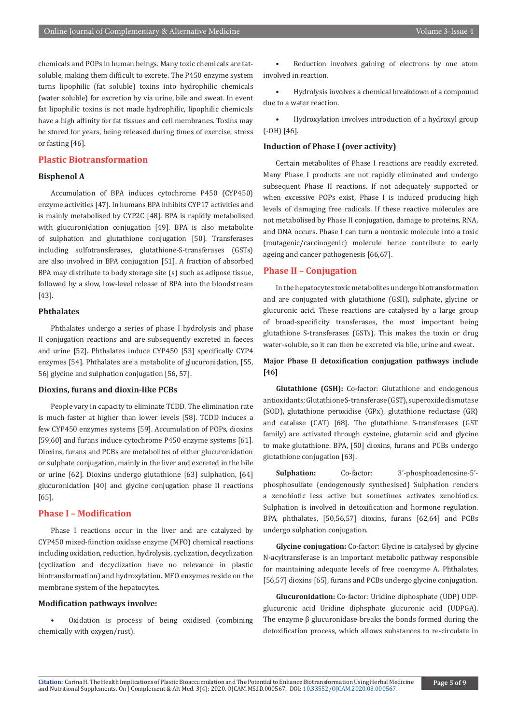chemicals and POPs in human beings. Many toxic chemicals are fatsoluble, making them difficult to excrete. The P450 enzyme system turns lipophilic (fat soluble) toxins into hydrophilic chemicals (water soluble) for excretion by via urine, bile and sweat. In event fat lipophilic toxins is not made hydrophilic, lipophilic chemicals have a high affinity for fat tissues and cell membranes. Toxins may be stored for years, being released during times of exercise, stress or fasting [46].

# **Plastic Biotransformation**

# **Bisphenol A**

Accumulation of BPA induces cytochrome P450 (CYP450) enzyme activities [47]. In humans BPA inhibits CYP17 activities and is mainly metabolised by CYP2C [48]. BPA is rapidly metabolised with glucuronidation conjugation [49]. BPA is also metabolite of sulphation and glutathione conjugation [50]. Transferases including sulfotransferases, glutathione-S-transferases (GSTs) are also involved in BPA conjugation [51]. A fraction of absorbed BPA may distribute to body storage site (s) such as adipose tissue, followed by a slow, low-level release of BPA into the bloodstream [43].

# **Phthalates**

Phthalates undergo a series of phase I hydrolysis and phase II conjugation reactions and are subsequently excreted in faeces and urine [52]. Phthalates induce CYP450 [53] specifically CYP4 enzymes [54]. Phthalates are a metabolite of glucuronidation, [55, 56] glycine and sulphation conjugation [56, 57].

# **Dioxins, furans and dioxin-like PCBs**

People vary in capacity to eliminate TCDD. The elimination rate is much faster at higher than lower levels [58]. TCDD induces a few CYP450 enzymes systems [59]. Accumulation of POPs, dioxins [59,60] and furans induce cytochrome P450 enzyme systems [61]. Dioxins, furans and PCBs are metabolites of either glucuronidation or sulphate conjugation, mainly in the liver and excreted in the bile or urine [62]. Dioxins undergo glutathione [63] sulphation, [64] glucuronidation [40] and glycine conjugation phase II reactions [65].

# **Phase I – Modification**

Phase I reactions occur in the liver and are catalyzed by CYP450 mixed-function oxidase enzyme (MFO) chemical reactions including oxidation, reduction, hydrolysis, cyclization, decyclization (cyclization and decyclization have no relevance in plastic biotransformation) and hydroxylation. MFO enzymes reside on the membrane system of the hepatocytes.

# **Modification pathways involve:**

• Oxidation is process of being oxidised (combining chemically with oxygen/rust).

Reduction involves gaining of electrons by one atom involved in reaction.

• Hydrolysis involves a chemical breakdown of a compound due to a water reaction.

• Hydroxylation involves introduction of a hydroxyl group (-OH) [46].

# **Induction of Phase I (over activity)**

Certain metabolites of Phase I reactions are readily excreted. Many Phase I products are not rapidly eliminated and undergo subsequent Phase II reactions. If not adequately supported or when excessive POPs exist, Phase I is induced producing high levels of damaging free radicals. If these reactive molecules are not metabolised by Phase II conjugation, damage to proteins, RNA, and DNA occurs. Phase I can turn a nontoxic molecule into a toxic (mutagenic/carcinogenic) molecule hence contribute to early ageing and cancer pathogenesis [66,67].

# **Phase II – Conjugation**

In the hepatocytes toxic metabolites undergo biotransformation and are conjugated with glutathione (GSH), sulphate, glycine or glucuronic acid. These reactions are catalysed by a large group of broad-specificity transferases, the most important being glutathione S-transferases (GSTs). This makes the toxin or drug water-soluble, so it can then be excreted via bile, urine and sweat.

# **Major Phase II detoxification conjugation pathways include [46]**

**Glutathione (GSH):** Co-factor: Glutathione and endogenous antioxidants; Glutathione S-transferase (GST), superoxide dismutase (SOD), glutathione peroxidise (GPx), glutathione reductase (GR) and catalase (CAT) [68]. The glutathione S-transferases (GST family) are activated through cysteine, glutamic acid and glycine to make glutathione. BPA, [50] dioxins, furans and PCBs undergo glutathione conjugation [63].

**Sulphation:** Co-factor: 3'-phosphoadenosine-5' phosphosulfate (endogenously synthesised) Sulphation renders a xenobiotic less active but sometimes activates xenobiotics. Sulphation is involved in detoxification and hormone regulation. BPA, phthalates, [50,56,57] dioxins, furans [62,64] and PCBs undergo sulphation conjugation.

**Glycine conjugation:** Co-factor: Glycine is catalysed by glycine N-acyltransferase is an important metabolic pathway responsible for maintaining adequate levels of free coenzyme A. Phthalates, [56,57] dioxins [65], furans and PCBs undergo glycine conjugation.

**Glucuronidation:** Co-factor: Uridine diphosphate (UDP) UDPglucuronic acid Uridine diphsphate glucuronic acid (UDPGA). The enzyme β glucuronidase breaks the bonds formed during the detoxification process, which allows substances to re-circulate in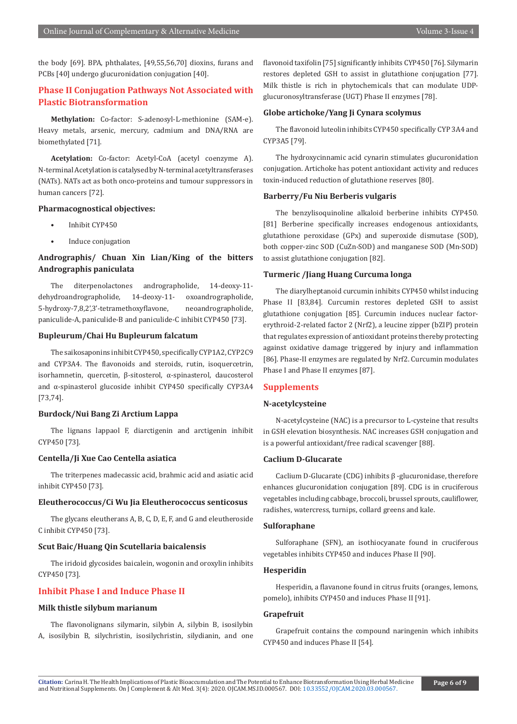the body [69]. BPA, phthalates, [49,55,56,70] dioxins, furans and PCBs [40] undergo glucuronidation conjugation [40].

# **Phase II Conjugation Pathways Not Associated with Plastic Biotransformation**

**Methylation:** Co-factor: S-adenosyl-L-methionine (SAM-e). Heavy metals, arsenic, mercury, cadmium and DNA/RNA are biomethylated [71].

**Acetylation:** Co-factor: Acetyl-CoA (acetyl coenzyme A). N-terminal Acetylation is catalysed by N-terminal acetyltransferases (NATs). NATs act as both onco-proteins and tumour suppressors in human cancers [72].

# **Pharmacognostical objectives:**

- Inhibit CYP450
- Induce conjugation

# **Andrographis/ Chuan Xin Lian/King of the bitters Andrographis paniculata**

The diterpenolactones andrographolide, 14-deoxy-11 dehydroandrographolide, 14-deoxy-11- oxoandrographolide, 5-hydroxy-7,8,2',3'-tetramethoxyflavone, neoandrographolide, paniculide-A, paniculide-B and paniculide-C inhibit CYP450 [73].

# **Bupleurum/Chai Hu Bupleurum falcatum**

The saikosaponins inhibit CYP450, specifically CYP1A2, CYP2C9 and CYP3A4. The flavonoids and steroids, rutin, isoquercetrin, isorhamnetin, quercetin, β-sitosterol, α-spinasterol, daucosterol and α-spinasterol glucoside inhibit CYP450 specifically CYP3A4 [73,74].

## **Burdock/Nui Bang Zi Arctium Lappa**

The lignans lappaol F, diarctigenin and arctigenin inhibit CYP450 [73].

# **Centella/Ji Xue Cao Centella asiatica**

The triterpenes madecassic acid, brahmic acid and asiatic acid inhibit CYP450 [73].

# **Eleutherococcus/Ci Wu Jia Eleutherococcus senticosus**

The glycans eleutherans A, B, C, D, E, F, and G and eleutheroside C inhibit CYP450 [73].

#### **Scut Baic/Huang Qin Scutellaria baicalensis**

The iridoid glycosides baicalein, wogonin and oroxylin inhibits CYP450 [73].

# **Inhibit Phase I and Induce Phase II**

# **Milk thistle silybum marianum**

The flavonolignans silymarin, silybin A, silybin B, isosilybin A, isosilybin B, silychristin, isosilychristin, silydianin, and one flavonoid taxifolin [75] significantly inhibits CYP450 [76]. Silymarin restores depleted GSH to assist in glutathione conjugation [77]. Milk thistle is rich in phytochemicals that can modulate UDPglucuronosyltransferase (UGT) Phase II enzymes [78].

# **Globe artichoke/Yang Ji Cynara scolymus**

The flavonoid luteolin inhibits CYP450 specifically CYP 3A4 and CYP3A5 [79].

The hydroxycinnamic acid cynarin stimulates glucuronidation conjugation. Artichoke has potent antioxidant activity and reduces toxin-induced reduction of glutathione reserves [80].

# **Barberry/Fu Niu Berberis vulgaris**

The benzylisoquinoline alkaloid berberine inhibits CYP450. [81] Berberine specifically increases endogenous antioxidants, glutathione peroxidase (GPx) and superoxide dismutase (SOD), both copper-zinc SOD (CuZn-SOD) and manganese SOD (Mn-SOD) to assist glutathione conjugation [82].

# **Turmeric /Jiang Huang Curcuma longa**

The diarylheptanoid curcumin inhibits CYP450 whilst inducing Phase II [83,84]. Curcumin restores depleted GSH to assist glutathione conjugation [85]. Curcumin induces nuclear factorerythroid-2-related factor 2 (Nrf2), a leucine zipper (bZIP) protein that regulates expression of antioxidant proteins thereby protecting against oxidative damage triggered by injury and inflammation [86]. Phase-II enzymes are regulated by Nrf2. Curcumin modulates Phase I and Phase II enzymes [87].

# **Supplements**

# **N-acetylcysteine**

N-acetylcysteine (NAC) is a precursor to L-cysteine that results in GSH elevation biosynthesis. NAC increases GSH conjugation and is a powerful antioxidant/free radical scavenger [88].

# **Caclium D-Glucarate**

Caclium D-Glucarate (CDG) inhibits β -glucuronidase, therefore enhances glucuronidation conjugation [89]. CDG is in cruciferous vegetables including cabbage, broccoli, brussel sprouts, cauliflower, radishes, watercress, turnips, collard greens and kale.

# **Sulforaphane**

Sulforaphane (SFN), an isothiocyanate found in cruciferous vegetables inhibits CYP450 and induces Phase II [90].

# **Hesperidin**

Hesperidin, a flavanone found in citrus fruits (oranges, lemons, pomelo), inhibits CYP450 and induces Phase II [91].

# **Grapefruit**

Grapefruit contains the compound naringenin which inhibits CYP450 and induces Phase II [54].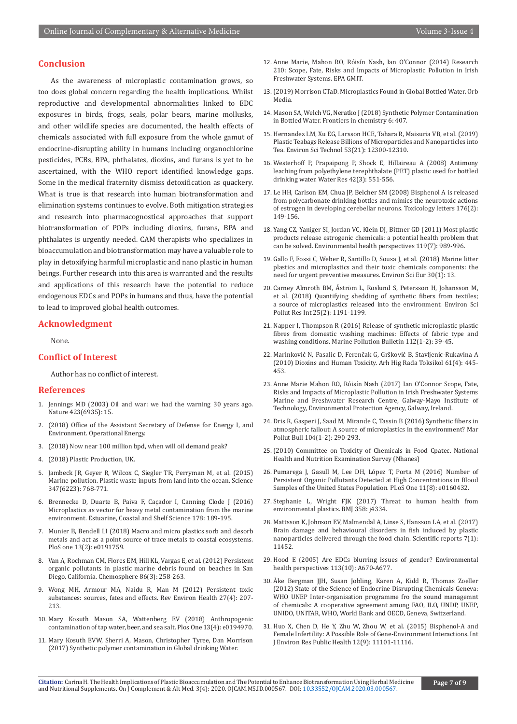# **Conclusion**

As the awareness of microplastic contamination grows, so too does global concern regarding the health implications. Whilst reproductive and developmental abnormalities linked to EDC exposures in birds, frogs, seals, polar bears, marine mollusks, and other wildlife species are documented, the health effects of chemicals associated with full exposure from the whole gamut of endocrine-disrupting ability in humans including organochlorine pesticides, PCBs, BPA, phthalates, dioxins, and furans is yet to be ascertained, with the WHO report identified knowledge gaps. Some in the medical fraternity dismiss detoxification as quackery. What is true is that research into human biotransformation and elimination systems continues to evolve. Both mitigation strategies and research into pharmacognostical approaches that support biotransformation of POPs including dioxins, furans, BPA and phthalates is urgently needed. CAM therapists who specializes in bioaccumulation and biotransformation may have a valuable role to play in detoxifying harmful microplastic and nano plastic in human beings. Further research into this area is warranted and the results and applications of this research have the potential to reduce endogenous EDCs and POPs in humans and thus, have the potential to lead to improved global health outcomes.

## **Acknowledgment**

None.

# **Conflict of Interest**

Author has no conflict of interest.

#### **References**

- 1. [Jennings MD \(2003\) Oil and war: we had the warning 30 years ago.](https://www.ncbi.nlm.nih.gov/pubmed/12721599) [Nature 423\(6935\): 15.](https://www.ncbi.nlm.nih.gov/pubmed/12721599)
- 2. (2018) Office of the Assistant Secretary of Defense for Energy I, and Environment. Operational Energy.
- 3. (2018) Now near 100 million bpd, when will oil demand peak?
- 4. (2018) Plastic Production, UK.
- 5. [Jambeck JR, Geyer R, Wilcox C, Siegler TR, Perryman M, et al. \(2015\)](https://www.ncbi.nlm.nih.gov/pubmed/25678662) [Marine pollution. Plastic waste inputs from land into the ocean. Science](https://www.ncbi.nlm.nih.gov/pubmed/25678662) [347\(6223\): 768-771.](https://www.ncbi.nlm.nih.gov/pubmed/25678662)
- 6. [Brennecke D, Duarte B, Paiva F, Caçador I, Canning Clode J \(2016\)](https://www.sciencedirect.com/science/article/pii/S027277141530158X) [Microplastics as vector for heavy metal contamination from the marine](https://www.sciencedirect.com/science/article/pii/S027277141530158X) [environment. Estuarine, Coastal and Shelf Science 178: 189-195.](https://www.sciencedirect.com/science/article/pii/S027277141530158X)
- 7. [Munier B, Bendell LI \(2018\) Macro and micro plastics sorb and desorb](https://www.ncbi.nlm.nih.gov/pubmed/29444103) [metals and act as a point source of trace metals to coastal ecosystems.](https://www.ncbi.nlm.nih.gov/pubmed/29444103) [PloS one 13\(2\): e0191759.](https://www.ncbi.nlm.nih.gov/pubmed/29444103)
- 8. [Van A, Rochman CM, Flores EM, Hill KL, Vargas E, et al. \(2012\) Persistent](https://www.sciencedirect.com/science/article/pii/S0045653511010836) [organic pollutants in plastic marine debris found on beaches in San](https://www.sciencedirect.com/science/article/pii/S0045653511010836) [Diego, California. Chemosphere 86\(3\): 258-263.](https://www.sciencedirect.com/science/article/pii/S0045653511010836)
- 9. [Wong MH, Armour MA, Naidu R, Man M \(2012\) Persistent toxic](https://www.ncbi.nlm.nih.gov/pubmed/23079509) [substances: sources, fates and effects. Rev Environ Health 27\(4\): 207-](https://www.ncbi.nlm.nih.gov/pubmed/23079509) [213.](https://www.ncbi.nlm.nih.gov/pubmed/23079509)
- 10. [Mary Kosuth Mason SA, Wattenberg EV \(2018\) Anthropogenic](https://www.ncbi.nlm.nih.gov/pubmed/29641556) [contamination of tap water, beer, and sea salt. Plos One 13\(4\): e0194970.](https://www.ncbi.nlm.nih.gov/pubmed/29641556)
- 11. Mary Kosuth EVW, Sherri A, Mason, Christopher Tyree, Dan Morrison (2017) Synthetic polymer contamination in Global drinking Water.
- 12. Anne Marie, Mahon RO, Róisín Nash, Ian O'Connor (2014) Research 210: Scope, Fate, Risks and Impacts of Microplastic Pollution in Irish Freshwater Systems. EPA GMIT.
- 13. (2019) Morrison CTaD. Microplastics Found in Global Bottled Water. Orb Media.
- 14. Mason SA, Welch VG, Neratko J (2018) Synthetic Polymer Contamination in Bottled Water. Frontiers in chemistry 6: 407.
- 15. [Hernandez LM, Xu EG, Larsson HCE, Tahara R, Maisuria VB, et al. \(2019\)](https://www.ncbi.nlm.nih.gov/pubmed/31552738)  [Plastic Teabags Release Billions of Microparticles and Nanoparticles into](https://www.ncbi.nlm.nih.gov/pubmed/31552738)  [Tea. Environ Sci Technol 53\(21\): 12300-12310.](https://www.ncbi.nlm.nih.gov/pubmed/31552738)
- 16. [Westerhoff P, Prapaipong P, Shock E, Hillaireau A \(2008\) Antimony](https://www.ncbi.nlm.nih.gov/pubmed/17707454)  [leaching from polyethylene terephthalate \(PET\) plastic used for bottled](https://www.ncbi.nlm.nih.gov/pubmed/17707454)  [drinking water. Water Res 42\(3\): 551-556.](https://www.ncbi.nlm.nih.gov/pubmed/17707454)
- 17. [Le HH, Carlson EM, Chua JP, Belcher SM \(2008\) Bisphenol A is released](https://www.ncbi.nlm.nih.gov/pubmed/18155859)  [from polycarbonate drinking bottles and mimics the neurotoxic actions](https://www.ncbi.nlm.nih.gov/pubmed/18155859)  [of estrogen in developing cerebellar neurons. Toxicology letters 176\(2\):](https://www.ncbi.nlm.nih.gov/pubmed/18155859)  [149-156.](https://www.ncbi.nlm.nih.gov/pubmed/18155859)
- 18. [Yang CZ, Yaniger SI, Jordan VC, Klein DJ, Bittner GD \(2011\) Most plastic](https://www.ncbi.nlm.nih.gov/pubmed/21367689)  [products release estrogenic chemicals: a potential health problem that](https://www.ncbi.nlm.nih.gov/pubmed/21367689)  [can be solved. Environmental health perspectives 119\(7\): 989-996.](https://www.ncbi.nlm.nih.gov/pubmed/21367689)
- 19. [Gallo F, Fossi C, Weber R, Santillo D, Sousa J, et al. \(2018\) Marine litter](https://www.ncbi.nlm.nih.gov/pubmed/29721401)  [plastics and microplastics and their toxic chemicals components: the](https://www.ncbi.nlm.nih.gov/pubmed/29721401)  [need for urgent preventive measures. Environ Sci Eur 30\(1\): 13.](https://www.ncbi.nlm.nih.gov/pubmed/29721401)
- 20. [Carney Almroth BM, Åström L, Roslund S, Petersson H, Johansson M,](https://www.ncbi.nlm.nih.gov/pubmed/29081044)  [et al. \(2018\) Quantifying shedding of synthetic fibers from textiles;](https://www.ncbi.nlm.nih.gov/pubmed/29081044)  [a source of microplastics released into the environment. Environ Sci](https://www.ncbi.nlm.nih.gov/pubmed/29081044)  [Pollut Res Int 25\(2\): 1191-1199.](https://www.ncbi.nlm.nih.gov/pubmed/29081044)
- 21. [Napper I, Thompson R \(2016\) Release of synthetic microplastic plastic](https://www.sciencedirect.com/science/article/abs/pii/S0025326X16307639)  [fibres from domestic washing machines: Effects of fabric type and](https://www.sciencedirect.com/science/article/abs/pii/S0025326X16307639)  [washing conditions. Marine Pollution Bulletin 112\(1-2\): 39-45.](https://www.sciencedirect.com/science/article/abs/pii/S0025326X16307639)
- 22. [Marinković N, Pasalic D, Ferenčak G, Gršković B, Stavljenic-Rukavina A](https://www.ncbi.nlm.nih.gov/pubmed/21183436)  [\(2010\) Dioxins and Human Toxicity. Arh Hig Rada Toksikol 61\(4\): 445-](https://www.ncbi.nlm.nih.gov/pubmed/21183436) [453.](https://www.ncbi.nlm.nih.gov/pubmed/21183436)
- 23. Anne Marie Mahon RO, Róisín Nash (2017) Ian O'Connor Scope, Fate, Risks and Impacts of Microplastic Pollution in Irish Freshwater Systems Marine and Freshwater Research Centre, Galway-Mayo Institute of Technology, Environmental Protection Agency, Galway, Ireland.
- 24. [Dris R, Gasperi J, Saad M, Mirande C, Tassin B \(2016\) Synthetic fibers in](https://www.sciencedirect.com/science/article/abs/pii/S0025326X16300066)  [atmospheric fallout: A source of microplastics in the environment? Mar](https://www.sciencedirect.com/science/article/abs/pii/S0025326X16300066)  [Pollut Bull 104\(1-2\): 290-293.](https://www.sciencedirect.com/science/article/abs/pii/S0025326X16300066)
- 25. (2010) Committee on Toxicity of Chemicals in Food Cpatec. National Health and Nutrition Examination Survey (Nhanes)
- 26. Pumarega J, Gasull M, Lee DH, López T, Porta M (2016) Number of Persistent Organic Pollutants Detected at High Concentrations in Blood Samples of the United States Population. PLoS One 11(8): e0160432.
- 27. [Stephanie L, Wright FJK \(2017\) Threat to human health from](https://www.ncbi.nlm.nih.gov/pubmed/28947623)  [environmental plastics. BMJ 358: j4334.](https://www.ncbi.nlm.nih.gov/pubmed/28947623)
- 28. Mattsson K, Johnson EV, Malmendal A, Linse S, Hansson LA, et al. (2017) Brain damage and behavioural disorders in fish induced by plastic nanoparticles delivered through the food chain. Scientific reports 7(1): 11452.
- 29. Hood E (2005) Are EDCs blurring issues of gender? Environmental health perspectives 113(10): A670-A677.
- 30. Åke Bergman JJH, Susan Jobling, Karen A, Kidd R, Thomas Zoeller (2012) State of the Science of Endocrine Disrupting Chemicals Geneva: WHO UNEP Inter-organisation programme fro the sound managemnt of chemicals: A cooperative agreement among FAO, ILO, UNDP, UNEP, UNIDO, UNITAR, WHO, World Bank and OECD, Geneva, Switzerland.
- 31. [Huo X, Chen D, He Y, Zhu W, Zhou W, et al. \(2015\) Bisphenol-A and](https://www.ncbi.nlm.nih.gov/pubmed/26371021)  [Female Infertility: A Possible Role of Gene-Environment Interactions. Int](https://www.ncbi.nlm.nih.gov/pubmed/26371021)  [J Environ Res Public Health 12\(9\): 11101-11116.](https://www.ncbi.nlm.nih.gov/pubmed/26371021)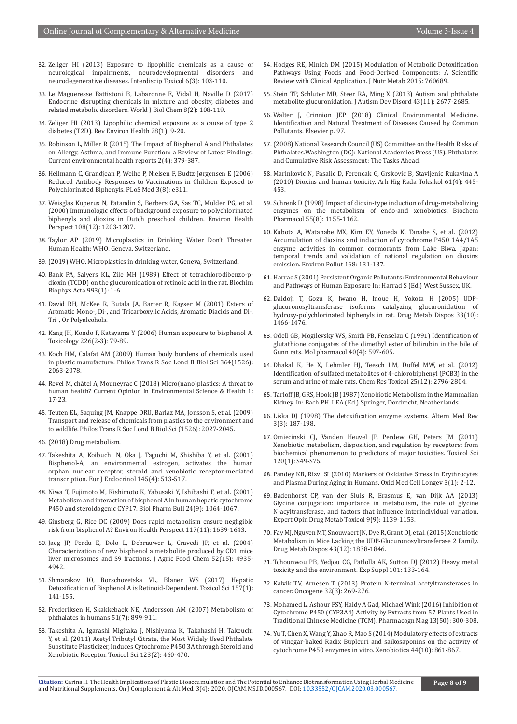- 32. [Zeliger HI \(2013\) Exposure to lipophilic chemicals as a cause of](https://www.ncbi.nlm.nih.gov/pubmed/24678247) [neurological impairments, neurodevelopmental disorders and](https://www.ncbi.nlm.nih.gov/pubmed/24678247) [neurodegenerative diseases. Interdiscip Toxicol 6\(3\): 103-110.](https://www.ncbi.nlm.nih.gov/pubmed/24678247)
- 33. [Le Magueresse Battistoni B, Labaronne E, Vidal H, Naville D \(2017\)](https://www.ncbi.nlm.nih.gov/pubmed/28588754) [Endocrine disrupting chemicals in mixture and obesity, diabetes and](https://www.ncbi.nlm.nih.gov/pubmed/28588754) [related metabolic disorders. World J Biol Chem 8\(2\): 108-119.](https://www.ncbi.nlm.nih.gov/pubmed/28588754)
- 34. [Zeliger HI \(2013\) Lipophilic chemical exposure as a cause of type 2](https://www.ncbi.nlm.nih.gov/pubmed/23509204) [diabetes \(T2D\). Rev Environ Health 28\(1\): 9-20.](https://www.ncbi.nlm.nih.gov/pubmed/23509204)
- 35. [Robinson L, Miller R \(2015\) The Impact of Bisphenol A and Phthalates](https://www.ncbi.nlm.nih.gov/pubmed/26337065) [on Allergy, Asthma, and Immune Function: a Review of Latest Findings.](https://www.ncbi.nlm.nih.gov/pubmed/26337065) [Current environmental health reports 2\(4\): 379-387.](https://www.ncbi.nlm.nih.gov/pubmed/26337065)
- 36. [Heilmann C, Grandjean P, Weihe P, Nielsen F, Budtz-Jørgensen E \(2006\)](https://www.ncbi.nlm.nih.gov/pubmed/16942395) [Reduced Antibody Responses to Vaccinations in Children Exposed to](https://www.ncbi.nlm.nih.gov/pubmed/16942395) [Polychlorinated Biphenyls. PLoS Med 3\(8\): e311.](https://www.ncbi.nlm.nih.gov/pubmed/16942395)
- 37. [Weisglas Kuperus N, Patandin S, Berbers GA, Sas TC, Mulder PG, et al.](https://www.ncbi.nlm.nih.gov/pubmed/11133402) [\(2000\) Immunologic effects of background exposure to polychlorinated](https://www.ncbi.nlm.nih.gov/pubmed/11133402) [biphenyls and dioxins in Dutch preschool children. Environ Health](https://www.ncbi.nlm.nih.gov/pubmed/11133402) [Perspect 108\(12\): 1203-1207.](https://www.ncbi.nlm.nih.gov/pubmed/11133402)
- 38. Taylor AP (2019) Microplastics in Drinking Water Don't Threaten Human Health: WHO, Geneva, Switzerland.
- 39. (2019) WHO. Microplastics in drinking water, Geneva, Switzerland.
- 40. [Bank PA, Salyers KL, Zile MH \(1989\) Effect of tetrachlorodibenzo-p](https://www.ncbi.nlm.nih.gov/pubmed/2508757)[dioxin \(TCDD\) on the glucuronidation of retinoic acid in the rat. Biochim](https://www.ncbi.nlm.nih.gov/pubmed/2508757) [Biophys Acta 993\(1\): 1-6.](https://www.ncbi.nlm.nih.gov/pubmed/2508757)
- 41. David RH, McKee R, Butala JA, Barter R, Kayser M (2001) Esters of Aromatic Mono-, Di-, and Tricarboxylic Acids, Aromatic Diacids and Di-, Tri-, Or Polyalcohols.
- 42. [Kang JH, Kondo F, Katayama Y \(2006\) Human exposure to bisphenol A.](https://www.ncbi.nlm.nih.gov/pubmed/16860916) [Toxicology 226\(2-3\): 79-89.](https://www.ncbi.nlm.nih.gov/pubmed/16860916)
- 43. [Koch HM, Calafat AM \(2009\) Human body burdens of chemicals used](https://www.ncbi.nlm.nih.gov/pubmed/19528056) [in plastic manufacture. Philos Trans R Soc Lond B Biol Sci 364\(1526\):](https://www.ncbi.nlm.nih.gov/pubmed/19528056) [2063-2078.](https://www.ncbi.nlm.nih.gov/pubmed/19528056)
- 44. [Revel M, châtel A, Mouneyrac C \(2018\) Micro\(nano\)plastics: A threat to](https://www.sciencedirect.com/science/article/pii/S2468584417300235) [human health? Current Opinion in Environmental Science & Health 1:](https://www.sciencedirect.com/science/article/pii/S2468584417300235) [17-23.](https://www.sciencedirect.com/science/article/pii/S2468584417300235)
- 45. [Teuten EL, Saquing JM, Knappe DRU, Barlaz MA, Jonsson S, et al. \(2009\)](https://www.ncbi.nlm.nih.gov/pubmed/19528054) [Transport and release of chemicals from plastics to the environment and](https://www.ncbi.nlm.nih.gov/pubmed/19528054) [to wildlife. Philos Trans R Soc Lond B Biol Sci \(1526\): 2027-2045.](https://www.ncbi.nlm.nih.gov/pubmed/19528054)
- 46. (2018) Drug metabolism.
- 47. [Takeshita A, Koibuchi N, Oka J, Taguchi M, Shishiba Y, et al. \(2001\)](https://www.ncbi.nlm.nih.gov/pubmed/11581012) [Bisphenol-A, an environmental estrogen, activates the human](https://www.ncbi.nlm.nih.gov/pubmed/11581012) [orphan nuclear receptor, steroid and xenobiotic receptor-mediated](https://www.ncbi.nlm.nih.gov/pubmed/11581012) [transcription. Eur J Endocrinol 145\(4\): 513-517.](https://www.ncbi.nlm.nih.gov/pubmed/11581012)
- 48. [Niwa T, Fujimoto M, Kishimoto K, Yabusaki Y, Ishibashi F, et al. \(2001\)](https://www.ncbi.nlm.nih.gov/pubmed/11558570) [Metabolism and interaction of bisphenol A in human hepatic cytochrome](https://www.ncbi.nlm.nih.gov/pubmed/11558570) [P450 and steroidogenic CYP17. Biol Pharm Bull 24\(9\): 1064-1067.](https://www.ncbi.nlm.nih.gov/pubmed/11558570)
- 49. [Ginsberg G, Rice DC \(2009\) Does rapid metabolism ensure negligible](https://www.ncbi.nlm.nih.gov/pubmed/20049111) [risk from bisphenol A? Environ Health Perspect 117\(11\): 1639-1643.](https://www.ncbi.nlm.nih.gov/pubmed/20049111)
- 50. [Jaeg JP, Perdu E, Dolo L, Debrauwer L, Cravedi JP, et al. \(2004\)](https://www.ncbi.nlm.nih.gov/pubmed/15264938) [Characterization of new bisphenol a metabolite produced by CD1 mice](https://www.ncbi.nlm.nih.gov/pubmed/15264938) [liver microsomes and S9 fractions. J Agric Food Chem 52\(15\): 4935-](https://www.ncbi.nlm.nih.gov/pubmed/15264938) [4942.](https://www.ncbi.nlm.nih.gov/pubmed/15264938)
- 51. [Shmarakov IO, Borschovetska VL, Blaner WS \(2017\) Hepatic](https://www.ncbi.nlm.nih.gov/pubmed/28123100) [Detoxification of Bisphenol A is Retinoid-Dependent. Toxicol Sci 157\(1\):](https://www.ncbi.nlm.nih.gov/pubmed/28123100) [141-155.](https://www.ncbi.nlm.nih.gov/pubmed/28123100)
- 52. [Frederiksen H, Skakkebaek NE, Andersson AM \(2007\) Metabolism of](https://www.ncbi.nlm.nih.gov/pubmed/17604388) [phthalates in humans 51\(7\): 899-911.](https://www.ncbi.nlm.nih.gov/pubmed/17604388)
- 53. [Takeshita A, Igarashi Migitaka J, Nishiyama K, Takahashi H, Takeuchi](https://www.ncbi.nlm.nih.gov/pubmed/21742782) [Y, et al. \(2011\) Acetyl Tributyl Citrate, the Most Widely Used Phthalate](https://www.ncbi.nlm.nih.gov/pubmed/21742782) [Substitute Plasticizer, Induces Cytochrome P450 3A through Steroid and](https://www.ncbi.nlm.nih.gov/pubmed/21742782) [Xenobiotic Receptor. Toxicol Sci 123\(2\): 460-470.](https://www.ncbi.nlm.nih.gov/pubmed/21742782)
- 54. [Hodges RE, Minich DM \(2015\) Modulation of Metabolic Detoxification](https://www.ncbi.nlm.nih.gov/pubmed/26167297)  [Pathways Using Foods and Food-Derived Components: A Scientific](https://www.ncbi.nlm.nih.gov/pubmed/26167297)  [Review with Clinical Application. J Nutr Metab 2015: 760689.](https://www.ncbi.nlm.nih.gov/pubmed/26167297)
- 55. [Stein TP, Schluter MD, Steer RA, Ming X \(2013\) Autism and phthalate](https://www.ncbi.nlm.nih.gov/pubmed/23575644)  [metabolite glucuronidation. J Autism Dev Disord 43\(11\): 2677-2685.](https://www.ncbi.nlm.nih.gov/pubmed/23575644)
- 56. Walter J, Crinnion JEP (2018) Clinical Environmental Medicine. Identification and Natural Treatment of Diseases Caused by Common Pollutants. Elsevier p. 97.
- 57. (2008) National Research Council (US) Committee on the Health Risks of Phthalates.Washington (DC): National Academies Press (US). Phthalates and Cumulative Risk Assessment: The Tasks Ahead.
- 58. [Marinkovic N, Pasalic D, Ferencak G, Grskovic B, Stavljenic Rukavina A](https://www.ncbi.nlm.nih.gov/pubmed/21183436)  [\(2010\) Dioxins and human toxicity. Arh Hig Rada Toksikol 61\(4\): 445-](https://www.ncbi.nlm.nih.gov/pubmed/21183436) [453.](https://www.ncbi.nlm.nih.gov/pubmed/21183436)
- 59. [Schrenk D \(1998\) Impact of dioxin-type induction of drug-metabolizing](https://www.ncbi.nlm.nih.gov/pubmed/9719469)  [enzymes on the metabolism of endo-and xenobiotics. Biochem](https://www.ncbi.nlm.nih.gov/pubmed/9719469)  [Pharmacol 55\(8\): 1155-1162.](https://www.ncbi.nlm.nih.gov/pubmed/9719469)
- 60. [Kubota A, Watanabe MX, Kim EY, Yoneda K, Tanabe S, et al. \(2012\)](https://www.ncbi.nlm.nih.gov/pubmed/22610036)  [Accumulation of dioxins and induction of cytochrome P450 1A4/1A5](https://www.ncbi.nlm.nih.gov/pubmed/22610036)  [enzyme activities in common cormorants from Lake Biwa, Japan:](https://www.ncbi.nlm.nih.gov/pubmed/22610036)  [temporal trends and validation of national regulation on dioxins](https://www.ncbi.nlm.nih.gov/pubmed/22610036)  [emission. Environ Pollut 168: 131-137.](https://www.ncbi.nlm.nih.gov/pubmed/22610036)
- 61. Harrad S (2001) Persistent Organic Pollutants: Environmental Behaviour and Pathways of Human Exposure In: Harrad S (Ed.) West Sussex, UK.
- 62. Daidoji T, Gozu K, Iwano H, Inoue H, Yokota H (2005) UDPglucuronosyltransferase isoforms catalyzing glucuronidation of hydroxy-polychlorinated biphenyls in rat. Drug Metab Dispos 33(10): 1466-1476.
- 63. [Odell GB, Mogilevsky WS, Smith PB, Fenselau C \(1991\) Identification of](https://www.ncbi.nlm.nih.gov/pubmed/1681418)  [glutathione conjugates of the dimethyl ester of bilirubin in the bile of](https://www.ncbi.nlm.nih.gov/pubmed/1681418)  [Gunn rats. Mol pharmacol 40\(4\): 597-605.](https://www.ncbi.nlm.nih.gov/pubmed/1681418)
- 64. [Dhakal K, He X, Lehmler HJ, Teesch LM, Duffel MW, et al. \(2012\)](https://www.ncbi.nlm.nih.gov/pubmed/23137097)  [Identification of sulfated metabolites of 4-chlorobiphenyl \(PCB3\) in the](https://www.ncbi.nlm.nih.gov/pubmed/23137097)  [serum and urine of male rats. Chem Res Toxicol 25\(12\): 2796-2804.](https://www.ncbi.nlm.nih.gov/pubmed/23137097)
- 65. Tarloff JB, GRS, Hook JB (1987) Xenobiotic Metabolism in the Mammalian Kidney. In: Bach PH. LEA (Ed.) Springer, Dordrecht, Neatherlands.
- 66. [Liska DJ \(1998\) The detoxification enzyme systems. Altern Med Rev](https://www.ncbi.nlm.nih.gov/pubmed/9630736)  [3\(3\): 187-198.](https://www.ncbi.nlm.nih.gov/pubmed/9630736)
- 67. [Omiecinski CJ, Vanden Heuvel JP, Perdew GH, Peters JM \(2011\)](https://www.ncbi.nlm.nih.gov/pubmed/21059794)  [Xenobiotic metabolism, disposition, and regulation by receptors: from](https://www.ncbi.nlm.nih.gov/pubmed/21059794)  [biochemical phenomenon to predictors of major toxicities. Toxicol Sci](https://www.ncbi.nlm.nih.gov/pubmed/21059794)  [120\(1\): S49-S75.](https://www.ncbi.nlm.nih.gov/pubmed/21059794)
- 68. [Pandey KB, Rizvi SI \(2010\) Markers of Oxidative Stress in Erythrocytes](https://www.ncbi.nlm.nih.gov/pubmed/20716923)  [and Plasma During Aging in Humans. Oxid Med Cell Longev 3\(1\): 2-12.](https://www.ncbi.nlm.nih.gov/pubmed/20716923)
- 69. [Badenhorst CP, van der Sluis R, Erasmus E, van Dijk AA \(2013\)](https://www.ncbi.nlm.nih.gov/pubmed/23650932)  [Glycine conjugation: importance in metabolism, the role of glycine](https://www.ncbi.nlm.nih.gov/pubmed/23650932)  [N-acyltransferase, and factors that influence interindividual variation.](https://www.ncbi.nlm.nih.gov/pubmed/23650932)  [Expert Opin Drug Metab Toxicol 9\(9\): 1139-1153.](https://www.ncbi.nlm.nih.gov/pubmed/23650932)
- 70. [Fay MJ, Nguyen MT, Snouwaert JN, Dye R, Grant DJ, et al. \(2015\) Xenobiotic](https://www.ncbi.nlm.nih.gov/pubmed/26354949)  [Metabolism in Mice Lacking the UDP-Glucuronosyltransferase 2 Family.](https://www.ncbi.nlm.nih.gov/pubmed/26354949)  [Drug Metab Dispos 43\(12\): 1838-1846.](https://www.ncbi.nlm.nih.gov/pubmed/26354949)
- 71. [Tchounwou PB, Yedjou CG, Patlolla AK, Sutton DJ \(2012\) Heavy metal](https://www.ncbi.nlm.nih.gov/pubmed/22945569)  [toxicity and the environment. Exp Suppl 101: 133-164.](https://www.ncbi.nlm.nih.gov/pubmed/22945569)
- 72. [Kalvik TV, Arnesen T \(2013\) Protein N-terminal acetyltransferases in](https://www.ncbi.nlm.nih.gov/pubmed/22391571)  [cancer. Oncogene 32\(3\): 269-276.](https://www.ncbi.nlm.nih.gov/pubmed/22391571)
- 73. [Mohamed L, Ashour FSY, Haidy A Gad, Michael Wink \(2016\) Inhibition of](https://www.ncbi.nlm.nih.gov/pubmed/28539725)  [Cytochrome P450 \(CYP3A4\) Activity by Extracts from 57 Plants Used in](https://www.ncbi.nlm.nih.gov/pubmed/28539725)  [Traditional Chinese Medicine \(TCM\). Pharmacogn Mag 13\(50\): 300-308.](https://www.ncbi.nlm.nih.gov/pubmed/28539725)
- 74. [Yu T, Chen X, Wang Y, Zhao R, Mao S \(2014\) Modulatory effects of extracts](https://www.ncbi.nlm.nih.gov/pubmed/24779639)  [of vinegar-baked Radix Bupleuri and saikosaponins on the activity of](https://www.ncbi.nlm.nih.gov/pubmed/24779639)  [cytochrome P450 enzymes in vitro. Xenobiotica 44\(10\): 861-867.](https://www.ncbi.nlm.nih.gov/pubmed/24779639)